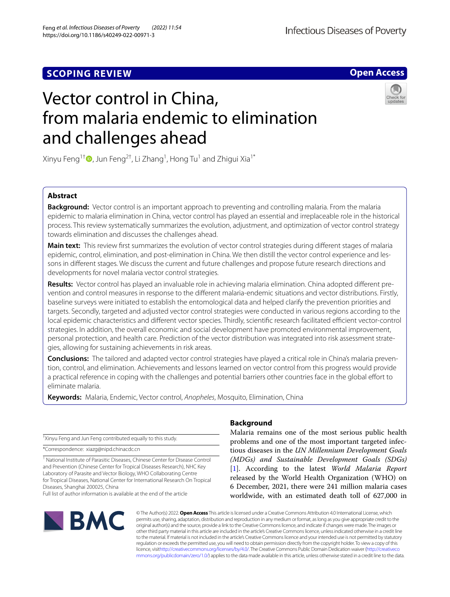## **SCOPING REVIEW**



# Vector control in China, from malaria endemic to elimination and challenges ahead



Xinyu Feng $^{1\dagger}$   $\!\!\! \bullet$  [,](http://orcid.org/0000-0002-4120-7759) Jun Feng $^{2\dagger}$ , Li Zhang $^1$ , Hong Tu $^1$  and Zhigui Xia $^{1^\ast}$ 

## **Abstract**

**Background:** Vector control is an important approach to preventing and controlling malaria. From the malaria epidemic to malaria elimination in China, vector control has played an essential and irreplaceable role in the historical process. This review systematically summarizes the evolution, adjustment, and optimization of vector control strategy towards elimination and discusses the challenges ahead.

**Main text:** This review frst summarizes the evolution of vector control strategies during diferent stages of malaria epidemic, control, elimination, and post-elimination in China. We then distill the vector control experience and lessons in diferent stages. We discuss the current and future challenges and propose future research directions and developments for novel malaria vector control strategies.

**Results:** Vector control has played an invaluable role in achieving malaria elimination. China adopted diferent prevention and control measures in response to the diferent malaria-endemic situations and vector distributions. Firstly, baseline surveys were initiated to establish the entomological data and helped clarify the prevention priorities and targets. Secondly, targeted and adjusted vector control strategies were conducted in various regions according to the local epidemic characteristics and different vector species. Thirdly, scientific research facilitated efficient vector-control strategies. In addition, the overall economic and social development have promoted environmental improvement, personal protection, and health care. Prediction of the vector distribution was integrated into risk assessment strategies, allowing for sustaining achievements in risk areas.

**Conclusions:** The tailored and adapted vector control strategies have played a critical role in China's malaria prevention, control, and elimination. Achievements and lessons learned on vector control from this progress would provide a practical reference in coping with the challenges and potential barriers other countries face in the global efort to eliminate malaria.

**Keywords:** Malaria, Endemic, Vector control, *Anopheles*, Mosquito, Elimination, China

† Xinyu Feng and Jun Feng contributed equally to this study.

\*Correspondence: xiazg@nipd.chinacdc.cn

<sup>1</sup> National Institute of Parasitic Diseases, Chinese Center for Disease Control and Prevention (Chinese Center for Tropical Diseases Research), NHC Key Laboratory of Parasite and Vector Biology, WHO Collaborating Centre for Tropical Diseases, National Center for International Research On Tropical Diseases, Shanghai 200025, China

Full list of author information is available at the end of the article



## **Background**

Malaria remains one of the most serious public health problems and one of the most important targeted infectious diseases in the *UN Millennium Development Goals (MDGs) and Sustainable Development Goals (SDGs)* [[1\]](#page-9-0). According to the latest *World Malaria Report* released by the World Health Organization (WHO) on 6 December, 2021, there were 241 million malaria cases worldwide, with an estimated death toll of 627,000 in

© The Author(s) 2022. **Open Access** This article is licensed under a Creative Commons Attribution 4.0 International License, which permits use, sharing, adaptation, distribution and reproduction in any medium or format, as long as you give appropriate credit to the original author(s) and the source, provide a link to the Creative Commons licence, and indicate if changes were made. The images or other third party material in this article are included in the article's Creative Commons licence, unless indicated otherwise in a credit line to the material. If material is not included in the article's Creative Commons licence and your intended use is not permitted by statutory regulation or exceeds the permitted use, you will need to obtain permission directly from the copyright holder. To view a copy of this licence, visi[thttp://creativecommons.org/licenses/by/4.0/](http://creativecommons.org/licenses/by/4.0/). The Creative Commons Public Domain Dedication waiver [\(http://creativeco](http://creativecommons.org/publicdomain/zero/1.0/) [mmons.org/publicdomain/zero/1.0/](http://creativecommons.org/publicdomain/zero/1.0/)) applies to the data made available in this article, unless otherwise stated in a credit line to the data.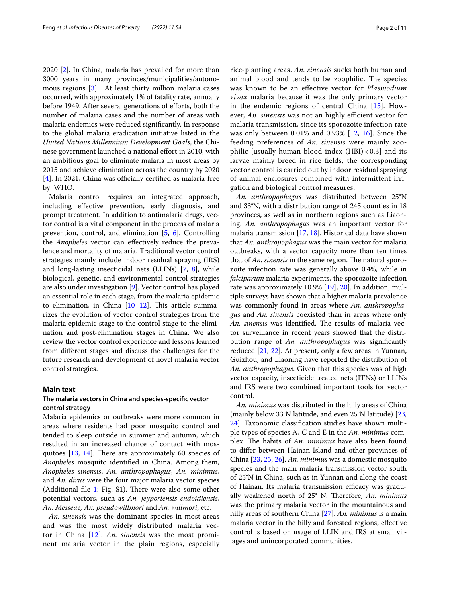2020 [[2\]](#page-9-1). In China, malaria has prevailed for more than 3000 years in many provinces/municipalities/autonomous regions [\[3](#page-9-2)]. At least thirty million malaria cases occurred, with approximately 1% of fatality rate, annually before 1949. After several generations of eforts, both the number of malaria cases and the number of areas with malaria endemics were reduced signifcantly. In response to the global malaria eradication initiative listed in the *United Nations Millennium Development Goals*, the Chinese government launched a national effort in 2010, with an ambitious goal to eliminate malaria in most areas by 2015 and achieve elimination across the country by 2020  $[4]$  $[4]$ . In 2021, China was officially certified as malaria-free by WHO.

Malaria control requires an integrated approach, including efective prevention, early diagnosis, and prompt treatment. In addition to antimalaria drugs, vector control is a vital component in the process of malaria prevention, control, and elimination [\[5](#page-9-4), [6\]](#page-9-5). Controlling the *Anopheles* vector can efectively reduce the prevalence and mortality of malaria. Traditional vector control strategies mainly include indoor residual spraying (IRS) and long-lasting insecticidal nets (LLINs) [[7,](#page-9-6) [8\]](#page-9-7), while biological, genetic, and environmental control strategies are also under investigation [\[9](#page-9-8)]. Vector control has played an essential role in each stage, from the malaria epidemic to elimination, in China  $[10-12]$  $[10-12]$  $[10-12]$ . This article summarizes the evolution of vector control strategies from the malaria epidemic stage to the control stage to the elimination and post-elimination stages in China. We also review the vector control experience and lessons learned from diferent stages and discuss the challenges for the future research and development of novel malaria vector control strategies.

## **Main text**

## **The malaria vectors in China and species‑specifc vector control strategy**

Malaria epidemics or outbreaks were more common in areas where residents had poor mosquito control and tended to sleep outside in summer and autumn, which resulted in an increased chance of contact with mosquitoes  $[13, 14]$  $[13, 14]$  $[13, 14]$  $[13, 14]$ . There are approximately 60 species of *Anopheles* mosquito identifed in China. Among them, *Anopheles sinensis*, *An. anthropophagus*, *An. minimus*, and *An. dirus* were the four major malaria vector species (Additional file  $1$ : Fig. S1). There were also some other potential vectors, such as *An. jeyporiensis cndoidiensis*, *An. Messeae, An. pseudowillmori* and *An. willmori*, etc.

*An. sinensis* was the dominant species in most areas and was the most widely distributed malaria vector in China [\[12\]](#page-9-10). *An. sinensis* was the most prominent malaria vector in the plain regions, especially rice-planting areas. *An. sinensis* sucks both human and animal blood and tends to be zoophilic. The species was known to be an efective vector for *Plasmodium vivax* malaria because it was the only primary vector in the endemic regions of central China [\[15](#page-9-14)]. However, *An. sinensis* was not an highly efficient vector for malaria transmission, since its sporozoite infection rate was only between 0.01% and 0.93% [[12,](#page-9-10) [16\]](#page-9-15). Since the feeding preferences of *An. sinensis* were mainly zoophilic [usually human blood index (HBI) < 0.3] and its larvae mainly breed in rice felds, the corresponding vector control is carried out by indoor residual spraying of animal enclosures combined with intermittent irrigation and biological control measures.

*An. anthropophagus* was distributed between 25°N and 33°N, with a distribution range of 245 counties in 18 provinces, as well as in northern regions such as Liaoning. *An. anthropophagus* was an important vector for malaria transmission [[17,](#page-10-0) [18](#page-10-1)]. Historical data have shown that *An. anthropophagus* was the main vector for malaria outbreaks, with a vector capacity more than ten times that of *An. sinensis* in the same region. The natural sporozoite infection rate was generally above 0.4%, while in *falciparum* malaria experiments, the sporozoite infection rate was approximately 10.9% [\[19](#page-10-2)], [20](#page-10-3)]. In addition, multiple surveys have shown that a higher malaria prevalence was commonly found in areas where *An. anthropophagus* and *An. sinensis* coexisted than in areas where only *An. sinensis* was identified. The results of malaria vector surveillance in recent years showed that the distribution range of *An. anthropophagus* was signifcantly reduced [[21,](#page-10-4) [22\]](#page-10-5). At present, only a few areas in Yunnan, Guizhou, and Liaoning have reported the distribution of *An. anthropophagus*. Given that this species was of high vector capacity, insecticide treated nets (ITNs) or LLINs and IRS were two combined important tools for vector control.

*An. minimus* was distributed in the hilly areas of China (mainly below 33°N latitude, and even 25°N latitude) [[23](#page-10-6), [24\]](#page-10-7). Taxonomic classifcation studies have shown multiple types of species A, C and E in the *An. minimus* complex. The habits of *An. minimus* have also been found to difer between Hainan Island and other provinces of China [[23,](#page-10-6) [25](#page-10-8), [26](#page-10-9)]. *An. minimus* was a domestic mosquito species and the main malaria transmission vector south of 25°N in China, such as in Yunnan and along the coast of Hainan. Its malaria transmission efficacy was gradually weakened north of 25° N. Therefore, An. minimus was the primary malaria vector in the mountainous and hilly areas of southern China [[27\]](#page-10-10). *An. minimus* is a main malaria vector in the hilly and forested regions, efective control is based on usage of LLIN and IRS at small villages and unincorporated communities.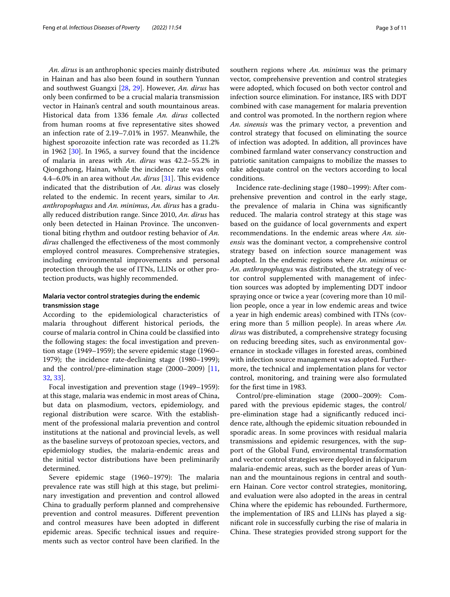*An. dirus* is an anthrophonic species mainly distributed in Hainan and has also been found in southern Yunnan and southwest Guangxi [\[28](#page-10-11), [29](#page-10-12)]. However, *An. dirus* has only been confrmed to be a crucial malaria transmission vector in Hainan's central and south mountainous areas. Historical data from 1336 female *An. dirus* collected from human rooms at fve representative sites showed an infection rate of 2.19–7.01% in 1957. Meanwhile, the highest sporozoite infection rate was recorded as 11.2% in 1962 [\[30](#page-10-13)]. In 1965, a survey found that the incidence of malaria in areas with *An. dirus* was 42.2–55.2% in Qiongzhong, Hainan, while the incidence rate was only 4.4–6.0% in an area without *An. dirus* [[31\]](#page-10-14). This evidence indicated that the distribution of *An. dirus* was closely related to the endemic. In recent years, similar to *An. anthropophagus* and *An. minimus*, *An. dirus* has a gradually reduced distribution range. Since 2010, *An. dirus* has only been detected in Hainan Province. The unconventional biting rhythm and outdoor resting behavior of *An. dirus* challenged the efectiveness of the most commonly employed control measures. Comprehensive strategies, including environmental improvements and personal protection through the use of ITNs, LLINs or other protection products, was highly recommended.

## **Malaria vector control strategies during the endemic transmission stage**

According to the epidemiological characteristics of malaria throughout diferent historical periods, the course of malaria control in China could be classifed into the following stages: the focal investigation and prevention stage (1949–1959); the severe epidemic stage (1960– 1979); the incidence rate-declining stage (1980–1999); and the control/pre-elimination stage (2000–2009) [\[11](#page-9-16), [32,](#page-10-15) [33\]](#page-10-16).

Focal investigation and prevention stage (1949–1959): at this stage, malaria was endemic in most areas of China, but data on plasmodium, vectors, epidemiology, and regional distribution were scarce. With the establishment of the professional malaria prevention and control institutions at the national and provincial levels, as well as the baseline surveys of protozoan species, vectors, and epidemiology studies, the malaria-endemic areas and the initial vector distributions have been preliminarily determined.

Severe epidemic stage (1960-1979): The malaria prevalence rate was still high at this stage, but preliminary investigation and prevention and control allowed China to gradually perform planned and comprehensive prevention and control measures. Diferent prevention and control measures have been adopted in diferent epidemic areas. Specifc technical issues and requirements such as vector control have been clarifed. In the southern regions where *An. minimus* was the primary vector, comprehensive prevention and control strategies were adopted, which focused on both vector control and infection source elimination. For instance, IRS with DDT combined with case management for malaria prevention and control was promoted. In the northern region where *An. sinensis* was the primary vector, a prevention and control strategy that focused on eliminating the source of infection was adopted. In addition, all provinces have combined farmland water conservancy construction and patriotic sanitation campaigns to mobilize the masses to take adequate control on the vectors according to local conditions.

Incidence rate-declining stage (1980–1999): After comprehensive prevention and control in the early stage, the prevalence of malaria in China was signifcantly reduced. The malaria control strategy at this stage was based on the guidance of local governments and expert recommendations. In the endemic areas where *An. sinensis* was the dominant vector, a comprehensive control strategy based on infection source management was adopted. In the endemic regions where *An. minimus* or *An. anthropophagus* was distributed, the strategy of vector control supplemented with management of infection sources was adopted by implementing DDT indoor spraying once or twice a year (covering more than 10 million people, once a year in low endemic areas and twice a year in high endemic areas) combined with ITNs (covering more than 5 million people). In areas where *An. dirus* was distributed, a comprehensive strategy focusing on reducing breeding sites, such as environmental governance in stockade villages in forested areas, combined with infection source management was adopted. Furthermore, the technical and implementation plans for vector control, monitoring, and training were also formulated for the frst time in 1983.

Control/pre-elimination stage (2000–2009): Compared with the previous epidemic stages, the control/ pre-elimination stage had a signifcantly reduced incidence rate, although the epidemic situation rebounded in sporadic areas. In some provinces with residual malaria transmissions and epidemic resurgences, with the support of the Global Fund, environmental transformation and vector control strategies were deployed in falciparum malaria-endemic areas, such as the border areas of Yunnan and the mountainous regions in central and southern Hainan. Core vector control strategies, monitoring, and evaluation were also adopted in the areas in central China where the epidemic has rebounded. Furthermore, the implementation of IRS and LLINs has played a signifcant role in successfully curbing the rise of malaria in China. These strategies provided strong support for the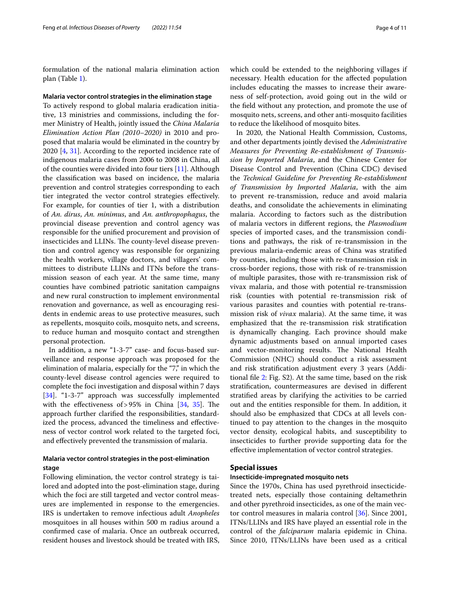formulation of the national malaria elimination action plan (Table [1\)](#page-4-0).

#### **Malaria vector control strategies in the elimination stage**

To actively respond to global malaria eradication initiative, 13 ministries and commissions, including the former Ministry of Health, jointly issued the *China Malaria Elimination Action Plan (2010–2020)* in 2010 and proposed that malaria would be eliminated in the country by 2020 [\[4](#page-9-3), [31](#page-10-14)]. According to the reported incidence rate of indigenous malaria cases from 2006 to 2008 in China, all of the counties were divided into four tiers [\[11](#page-9-16)]. Although the classifcation was based on incidence, the malaria prevention and control strategies corresponding to each tier integrated the vector control strategies efectively. For example, for counties of tier 1, with a distribution of *An. dirus*, *An. minimus*, and *An. anthropophagus*, the provincial disease prevention and control agency was responsible for the unifed procurement and provision of insecticides and LLINs. The county-level disease prevention and control agency was responsible for organizing the health workers, village doctors, and villagers' committees to distribute LLINs and ITNs before the transmission season of each year. At the same time, many counties have combined patriotic sanitation campaigns and new rural construction to implement environmental renovation and governance, as well as encouraging residents in endemic areas to use protective measures, such as repellents, mosquito coils, mosquito nets, and screens, to reduce human and mosquito contact and strengthen personal protection.

In addition, a new "1-3-7" case- and focus-based surveillance and response approach was proposed for the elimination of malaria, especially for the "7," in which the county-level disease control agencies were required to complete the foci investigation and disposal within 7 days [[34\]](#page-10-17). "1-3-7" approach was successfully implemented with the effectiveness of > 95% in China  $[34, 35]$  $[34, 35]$  $[34, 35]$  $[34, 35]$ . The approach further clarifed the responsibilities, standardized the process, advanced the timeliness and efectiveness of vector control work related to the targeted foci, and efectively prevented the transmission of malaria.

## **Malaria vector control strategies in the post‑elimination stage**

Following elimination, the vector control strategy is tailored and adopted into the post-elimination stage, during which the foci are still targeted and vector control measures are implemented in response to the emergencies. IRS is undertaken to remove infectious adult *Anopheles* mosquitoes in all houses within 500 m radius around a confrmed case of malaria. Once an outbreak occurred, resident houses and livestock should be treated with IRS, which could be extended to the neighboring villages if necessary. Health education for the afected population includes educating the masses to increase their awareness of self-protection, avoid going out in the wild or the feld without any protection, and promote the use of mosquito nets, screens, and other anti-mosquito facilities to reduce the likelihood of mosquito bites.

In 2020, the National Health Commission, Customs, and other departments jointly devised the *Administrative Measures for Preventing Re-establishment of Transmission by Imported Malaria*, and the Chinese Center for Disease Control and Prevention (China CDC) devised the *Technical Guideline for Preventing Re-establishment of Transmission by Imported Malaria*, with the aim to prevent re-transmission, reduce and avoid malaria deaths, and consolidate the achievements in eliminating malaria. According to factors such as the distribution of malaria vectors in diferent regions, the *Plasmodium* species of imported cases, and the transmission conditions and pathways, the risk of re-transmission in the previous malaria-endemic areas of China was stratifed by counties, including those with re-transmission risk in cross-border regions, those with risk of re-transmission of multiple parasites, those with re-transmission risk of vivax malaria, and those with potential re-transmission risk (counties with potential re-transmission risk of various parasites and counties with potential re-transmission risk of *vivax* malaria). At the same time, it was emphasized that the re-transmission risk stratifcation is dynamically changing. Each province should make dynamic adjustments based on annual imported cases and vector-monitoring results. The National Health Commission (NHC) should conduct a risk assessment and risk stratifcation adjustment every 3 years (Additional fle [2](#page-9-17): Fig. S2). At the same time, based on the risk stratifcation, countermeasures are devised in diferent stratifed areas by clarifying the activities to be carried out and the entities responsible for them. In addition, it should also be emphasized that CDCs at all levels continued to pay attention to the changes in the mosquito vector density, ecological habits, and susceptibility to insecticides to further provide supporting data for the efective implementation of vector control strategies.

## **Special issues**

## **Insecticide‑impregnated mosquito nets**

Since the 1970s, China has used pyrethroid insecticidetreated nets, especially those containing deltamethrin and other pyrethroid insecticides, as one of the main vector control measures in malaria control [[36\]](#page-10-19). Since 2001, ITNs/LLINs and IRS have played an essential role in the control of the *falciparum* malaria epidemic in China. Since 2010, ITNs/LLINs have been used as a critical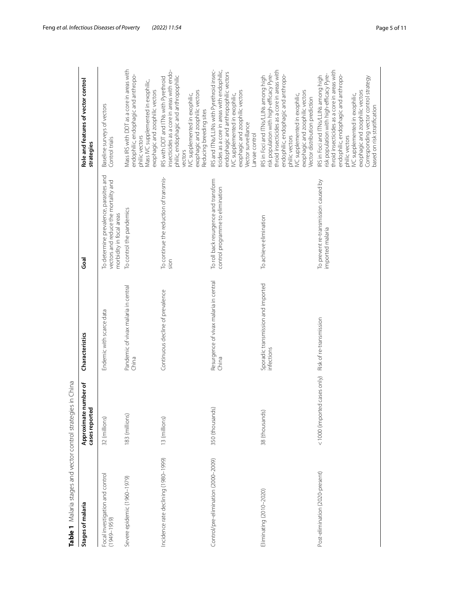| Table 1 Malaria stages and vector control strategies | in China                                            |                                                  |                                                                                                            |                                                                                                                                                                                                                                                                                                                                          |
|------------------------------------------------------|-----------------------------------------------------|--------------------------------------------------|------------------------------------------------------------------------------------------------------------|------------------------------------------------------------------------------------------------------------------------------------------------------------------------------------------------------------------------------------------------------------------------------------------------------------------------------------------|
| Stages of malaria                                    | <b>umber</b> of<br>Approximate nu<br>cases reported | Characteristics                                  | Goal                                                                                                       | Role and features of vector control<br>strategies                                                                                                                                                                                                                                                                                        |
| Focal investigation and control<br>$(1949 - 1959)$   | 32 (millions)                                       | Endemic with scarce data                         | To determine prevalence, parasites and<br>vectors and reduce the mortality and<br>morbidity in focal areas | Baseline surveys of vectors<br>Control trials                                                                                                                                                                                                                                                                                            |
| Severe epidemic (1960-1979)                          | 183 (millions)                                      | Pandemic of vivax malaria in central<br>China    | To control the pandemics                                                                                   | Mass IRS with DDT as a core in areas with<br>endophilic, endophagic and anthropo-<br>Mass IVC supplemented in exophilic,<br>exophagic and zoophilic vectors<br>philic vectors                                                                                                                                                            |
| Incidence rate declining (1980-1999)                 | 13 (millions)                                       | Continuous decline of prevalence                 | To continue the reduction of transmis-<br>sion                                                             | nsecticides as a core in areas with endo-<br>philic, endophagic and anthropophilic<br>IRS with DDT and ITNs with Pyrethroid<br>exophagic and zoophilic vectors<br>VC supplemented in exophilic,<br>Reducing breeding sites<br>vectors                                                                                                    |
| Control/pre-elimination (2000-2009)                  | 350 (thousands)                                     | Resurgence of vivax malaria in central<br>China  | To roll back resurgence and transform<br>control programme to elimination                                  | IRS and ITNs/LLINs with Pyrethroid insec-<br>ticides as a core in areas with endophilic,<br>endophagic and anthropophilic vectors<br>exophagic and zoophilic vectors<br>IVC supplemented in exophilic,<br>Vector surveillance<br>Larvae control                                                                                          |
| Eliminating (2010-2020)                              | 38 (thousands)                                      | Sporadic transmission and imported<br>infections | To achieve elimination                                                                                     | throid insecticides as a core in areas with<br>risk population with high-efficacy Pyre-<br>endophilic, endophagic and anthropo-<br>IRS in Foci and ITNs/LLINs among high<br>exophagic and zoophilic vectors<br>IVC supplemented in exophilic,<br>Vector distribution prediction<br>philic vectors                                        |
| Post-elimination (2020-present)                      | <1000 (imported cases only)                         | Risk of re-transmission                          | To prevent re-transmission caused by<br>imported malaria                                                   | throid insecticides as a core in areas with<br>risk population with high-efficacy Pyre-<br>endophilic, endophagic and anthropo-<br>IRS in Foci and ITNs/LLINs among high<br>Corresponding vector control strategy<br>based on risk stratification<br>exophagic and zoophilic vectors<br>IVC supplemented in exophilic,<br>philic vectors |

<span id="page-4-0"></span>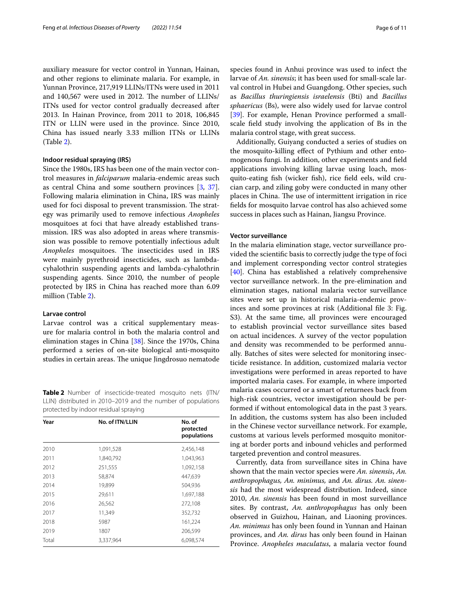auxiliary measure for vector control in Yunnan, Hainan, and other regions to eliminate malaria. For example, in Yunnan Province, 217,919 LLINs/ITNs were used in 2011 and 140,567 were used in 2012. The number of LLINs/ ITNs used for vector control gradually decreased after 2013. In Hainan Province, from 2011 to 2018, 106,845 ITN or LLIN were used in the province. Since 2010, China has issued nearly 3.33 million ITNs or LLINs (Table [2](#page-5-0)).

## **Indoor residual spraying (IRS)**

Since the 1980s, IRS has been one of the main vector control measures in *falciparum* malaria-endemic areas such as central China and some southern provinces [[3,](#page-9-2) [37](#page-9-2)]. Following malaria elimination in China, IRS was mainly used for foci disposal to prevent transmission. The strategy was primarily used to remove infectious *Anopheles* mosquitoes at foci that have already established transmission. IRS was also adopted in areas where transmission was possible to remove potentially infectious adult Anopheles mosquitoes. The insecticides used in IRS were mainly pyrethroid insecticides, such as lambdacyhalothrin suspending agents and lambda-cyhalothrin suspending agents. Since 2010, the number of people protected by IRS in China has reached more than 6.09 million (Table [2](#page-5-0)).

## **Larvae control**

Larvae control was a critical supplementary measure for malaria control in both the malaria control and elimination stages in China [[38\]](#page-10-20). Since the 1970s, China performed a series of on-site biological anti-mosquito studies in certain areas. The unique Jingdrosuo nematode

<span id="page-5-0"></span>**Table 2** Number of insecticide-treated mosquito nets (ITN/ LLIN) distributed in 2010–2019 and the number of populations protected by indoor residual spraying

| Year  | No. of ITN/LLIN | No. of<br>protected<br>populations |
|-------|-----------------|------------------------------------|
| 2010  | 1,091,528       | 2,456,148                          |
| 2011  | 1,840,792       | 1,043,963                          |
| 2012  | 251,555         | 1,092,158                          |
| 2013  | 58,874          | 447,639                            |
| 2014  | 19,899          | 504,936                            |
| 2015  | 29,611          | 1,697,188                          |
| 2016  | 26,562          | 272,108                            |
| 2017  | 11,349          | 352,732                            |
| 2018  | 5987            | 161,224                            |
| 2019  | 1807            | 206,599                            |
| Total | 3,337,964       | 6,098,574                          |

species found in Anhui province was used to infect the larvae of *An. sinensis*; it has been used for small-scale larval control in Hubei and Guangdong. Other species, such as *Bacillus thuringiensis israelensis* (Bti) and *Bacillus sphaericus* (Bs), were also widely used for larvae control [[39\]](#page-10-21). For example, Henan Province performed a smallscale feld study involving the application of Bs in the malaria control stage, with great success.

Additionally, Guiyang conducted a series of studies on the mosquito-killing efect of Pythium and other entomogenous fungi. In addition, other experiments and feld applications involving killing larvae using loach, mosquito-eating fsh (wicker fsh), rice feld eels, wild crucian carp, and ziling goby were conducted in many other places in China. The use of intermittent irrigation in rice felds for mosquito larvae control has also achieved some success in places such as Hainan, Jiangsu Province.

#### **Vector surveillance**

In the malaria elimination stage, vector surveillance provided the scientifc basis to correctly judge the type of foci and implement corresponding vector control strategies [[40\]](#page-10-22). China has established a relatively comprehensive vector surveillance network. In the pre-elimination and elimination stages, national malaria vector surveillance sites were set up in historical malaria-endemic provinces and some provinces at risk (Additional fle 3: Fig. S3). At the same time, all provinces were encouraged to establish provincial vector surveillance sites based on actual incidences. A survey of the vector population and density was recommended to be performed annually. Batches of sites were selected for monitoring insecticide resistance. In addition, customized malaria vector investigations were performed in areas reported to have imported malaria cases. For example, in where imported malaria cases occurred or a smart of returnees back from high-risk countries, vector investigation should be performed if without entomological data in the past 3 years. In addition, the customs system has also been included in the Chinese vector surveillance network. For example, customs at various levels performed mosquito monitoring at border ports and inbound vehicles and performed targeted prevention and control measures.

Currently, data from surveillance sites in China have shown that the main vector species were *An. sinensis*, *An. anthropophagus, An. minimus,* and *An. dirus. An. sinensis* had the most widespread distribution. Indeed, since 2010, *An. sinensis* has been found in most surveillance sites. By contrast, *An. anthropophagus* has only been observed in Guizhou, Hainan, and Liaoning provinces. *An. minimus* has only been found in Yunnan and Hainan provinces, and *An. dirus* has only been found in Hainan Province. *Anopheles maculatus*, a malaria vector found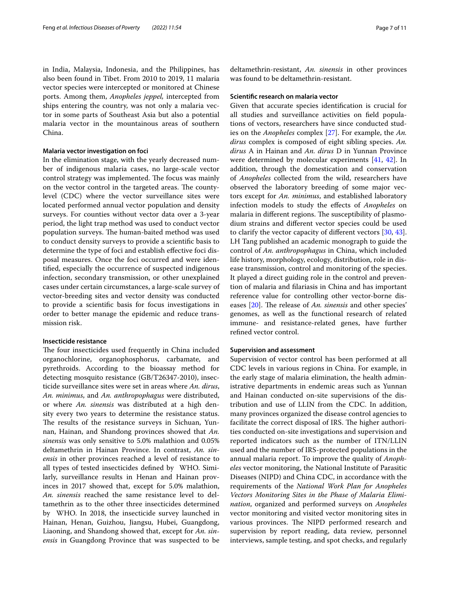in India, Malaysia, Indonesia, and the Philippines, has also been found in Tibet. From 2010 to 2019, 11 malaria vector species were intercepted or monitored at Chinese ports. Among them, *Anopheles jeppel,* intercepted from ships entering the country, was not only a malaria vector in some parts of Southeast Asia but also a potential malaria vector in the mountainous areas of southern China.

## **Malaria vector investigation on foci**

In the elimination stage, with the yearly decreased number of indigenous malaria cases, no large-scale vector control strategy was implemented. The focus was mainly on the vector control in the targeted areas. The countylevel (CDC) where the vector surveillance sites were located performed annual vector population and density surveys. For counties without vector data over a 3-year period, the light trap method was used to conduct vector population surveys. The human-baited method was used to conduct density surveys to provide a scientifc basis to determine the type of foci and establish efective foci disposal measures. Once the foci occurred and were identifed, especially the occurrence of suspected indigenous infection, secondary transmission, or other unexplained cases under certain circumstances, a large-scale survey of vector-breeding sites and vector density was conducted to provide a scientifc basis for focus investigations in order to better manage the epidemic and reduce transmission risk.

## **Insecticide resistance**

The four insecticides used frequently in China included organochlorine, organophosphorus, carbamate, and pyrethroids. According to the bioassay method for detecting mosquito resistance (GB/T26347-2010), insecticide surveillance sites were set in areas where *An. dirus*, *An. minimus*, and *An. anthropophagus* were distributed, or where *An. sinensis* was distributed at a high density every two years to determine the resistance status. The results of the resistance surveys in Sichuan, Yunnan, Hainan, and Shandong provinces showed that *An. sinensis* was only sensitive to 5.0% malathion and 0.05% deltamethrin in Hainan Province. In contrast, *An. sinensis* in other provinces reached a level of resistance to all types of tested insecticides defned by WHO. Similarly, surveillance results in Henan and Hainan provinces in 2017 showed that, except for 5.0% malathion, *An. sinensis* reached the same resistance level to deltamethrin as to the other three insecticides determined by WHO. In 2018, the insecticide survey launched in Hainan, Henan, Guizhou, Jiangsu, Hubei, Guangdong, Liaoning, and Shandong showed that, except for *An. sinensis* in Guangdong Province that was suspected to be deltamethrin-resistant, *An. sinensis* in other provinces was found to be deltamethrin-resistant.

#### **Scientifc research on malaria vector**

Given that accurate species identifcation is crucial for all studies and surveillance activities on feld populations of vectors, researchers have since conducted studies on the *Anopheles* complex [[27\]](#page-10-10). For example, the *An. dirus* complex is composed of eight sibling species. *An. dirus* A in Hainan and *An. dirus* D in Yunnan Province were determined by molecular experiments [\[41,](#page-10-23) [42\]](#page-10-24). In addition, through the domestication and conservation of *Anopheles* collected from the wild, researchers have observed the laboratory breeding of some major vectors except for *An. minimus*, and established laboratory infection models to study the efects of *Anopheles* on malaria in different regions. The susceptibility of plasmodium strains and diferent vector species could be used to clarify the vector capacity of diferent vectors [[30](#page-10-13), [43](#page-10-25)]. LH Tang published an academic monograph to guide the control of *An. anthropophagus* in China, which included life history, morphology, ecology, distribution, role in disease transmission, control and monitoring of the species. It played a direct guiding role in the control and prevention of malaria and flariasis in China and has important reference value for controlling other vector-borne dis-eases [\[20](#page-10-3)]. The release of *An. sinensis* and other species' genomes, as well as the functional research of related immune- and resistance-related genes, have further refned vector control.

## **Supervision and assessment**

Supervision of vector control has been performed at all CDC levels in various regions in China. For example, in the early stage of malaria elimination, the health administrative departments in endemic areas such as Yunnan and Hainan conducted on-site supervisions of the distribution and use of LLIN from the CDC. In addition, many provinces organized the disease control agencies to facilitate the correct disposal of IRS. The higher authorities conducted on-site investigations and supervision and reported indicators such as the number of ITN/LLIN used and the number of IRS-protected populations in the annual malaria report. To improve the quality of *Anopheles* vector monitoring, the National Institute of Parasitic Diseases (NIPD) and China CDC, in accordance with the requirements of the *National Work Plan for Anopheles Vectors Monitoring Sites in the Phase of Malaria Elimination*, organized and performed surveys on *Anopheles* vector monitoring and visited vector monitoring sites in various provinces. The NIPD performed research and supervision by report reading, data review, personnel interviews, sample testing, and spot checks, and regularly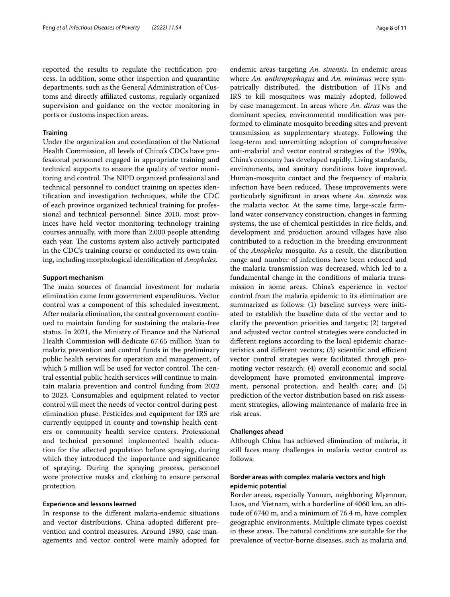reported the results to regulate the rectifcation process. In addition, some other inspection and quarantine departments, such as the General Administration of Customs and directly afliated customs, regularly organized supervision and guidance on the vector monitoring in ports or customs inspection areas.

## **Training**

Under the organization and coordination of the National Health Commission, all levels of China's CDCs have professional personnel engaged in appropriate training and technical supports to ensure the quality of vector monitoring and control. The NIPD organized professional and technical personnel to conduct training on species identifcation and investigation techniques, while the CDC of each province organized technical training for professional and technical personnel. Since 2010, most provinces have held vector monitoring technology training courses annually, with more than 2,000 people attending each year. The customs system also actively participated in the CDC's training course or conducted its own training, including morphological identifcation of *Anopheles*.

## **Support mechanism**

The main sources of financial investment for malaria elimination came from government expenditures. Vector control was a component of this scheduled investment. After malaria elimination, the central government continued to maintain funding for sustaining the malaria-free status. In 2021, the Ministry of Finance and the National Health Commission will dedicate 67.65 million Yuan to malaria prevention and control funds in the preliminary public health services for operation and management, of which 5 million will be used for vector control. The central essential public health services will continue to maintain malaria prevention and control funding from 2022 to 2023. Consumables and equipment related to vector control will meet the needs of vector control during postelimination phase. Pesticides and equipment for IRS are currently equipped in county and township health centers or community health service centers. Professional and technical personnel implemented health education for the afected population before spraying, during which they introduced the importance and signifcance of spraying. During the spraying process, personnel wore protective masks and clothing to ensure personal protection.

## **Experience and lessons learned**

In response to the diferent malaria-endemic situations and vector distributions, China adopted diferent prevention and control measures. Around 1980, case managements and vector control were mainly adopted for endemic areas targeting *An. sinensis*. In endemic areas where *An. anthropophagus* and *An. minimus* were sympatrically distributed, the distribution of ITNs and IRS to kill mosquitoes was mainly adopted, followed by case management. In areas where *An. dirus* was the dominant species, environmental modifcation was performed to eliminate mosquito breeding sites and prevent transmission as supplementary strategy. Following the long-term and unremitting adoption of comprehensive anti-malarial and vector control strategies of the 1990s, China's economy has developed rapidly. Living standards, environments, and sanitary conditions have improved. Human-mosquito contact and the frequency of malaria infection have been reduced. These improvements were particularly signifcant in areas where *An. sinensis* was the malaria vector. At the same time, large-scale farmland water conservancy construction, changes in farming systems, the use of chemical pesticides in rice felds, and development and production around villages have also contributed to a reduction in the breeding environment of the *Anopheles* mosquito. As a result, the distribution range and number of infections have been reduced and the malaria transmission was decreased, which led to a fundamental change in the conditions of malaria transmission in some areas. China's experience in vector control from the malaria epidemic to its elimination are summarized as follows: (1) baseline surveys were initiated to establish the baseline data of the vector and to clarify the prevention priorities and targets; (2) targeted and adjusted vector control strategies were conducted in diferent regions according to the local epidemic characteristics and different vectors;  $(3)$  scientific and efficient vector control strategies were facilitated through promoting vector research; (4) overall economic and social development have promoted environmental improvement, personal protection, and health care; and (5) prediction of the vector distribution based on risk assessment strategies, allowing maintenance of malaria free in risk areas.

## **Challenges ahead**

Although China has achieved elimination of malaria, it still faces many challenges in malaria vector control as follows:

## **Border areas with complex malaria vectors and high epidemic potential**

Border areas, especially Yunnan, neighboring Myanmar, Laos, and Vietnam, with a borderline of 4060 km, an altitude of 6740 m, and a minimum of 76.4 m, have complex geographic environments. Multiple climate types coexist in these areas. The natural conditions are suitable for the prevalence of vector-borne diseases, such as malaria and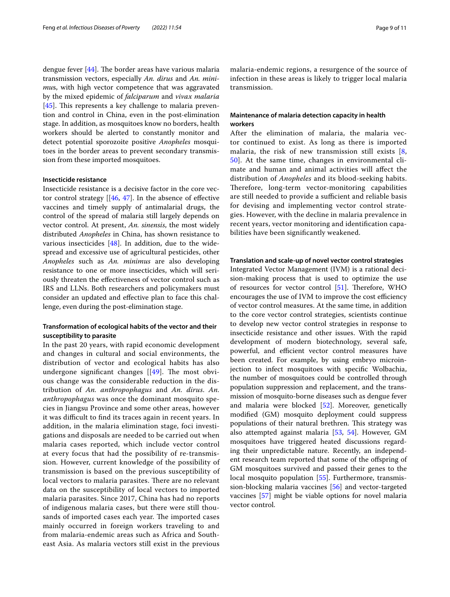dengue fever  $[44]$  $[44]$ . The border areas have various malaria transmission vectors, especially *An. dirus* and *An. minimu*s, with high vector competence that was aggravated by the mixed epidemic of *falciparum* and *vivax malaria* [[45\]](#page-10-27). This represents a key challenge to malaria prevention and control in China, even in the post-elimination stage. In addition, as mosquitoes know no borders, health workers should be alerted to constantly monitor and detect potential sporozoite positive *Anopheles* mosquitoes in the border areas to prevent secondary transmission from these imported mosquitoes.

## **Insecticide resistance**

Insecticide resistance is a decisive factor in the core vector control strategy  $[[46, 47]$  $[[46, 47]$  $[[46, 47]$  $[[46, 47]$  $[[46, 47]$ . In the absence of effective vaccines and timely supply of antimalarial drugs, the control of the spread of malaria still largely depends on vector control. At present, *An. sinensis*, the most widely distributed *Anopheles* in China, has shown resistance to various insecticides [[48\]](#page-10-30). In addition, due to the widespread and excessive use of agricultural pesticides, other *Anopheles* such as *An. minimus* are also developing resistance to one or more insecticides, which will seriously threaten the efectiveness of vector control such as IRS and LLNs. Both researchers and policymakers must consider an updated and efective plan to face this challenge, even during the post-elimination stage.

## **Transformation of ecological habits of the vector and their susceptibility to parasite**

In the past 20 years, with rapid economic development and changes in cultural and social environments, the distribution of vector and ecological habits has also undergone significant changes  $[49]$  $[49]$  $[49]$ . The most obvious change was the considerable reduction in the distribution of *An. anthropophagus* and *An. dirus*. *An. anthropophagus* was once the dominant mosquito species in Jiangsu Province and some other areas, however it was difficult to find its traces again in recent years. In addition, in the malaria elimination stage, foci investigations and disposals are needed to be carried out when malaria cases reported, which include vector control at every focus that had the possibility of re-transmission. However, current knowledge of the possibility of transmission is based on the previous susceptibility of local vectors to malaria parasites. There are no relevant data on the susceptibility of local vectors to imported malaria parasites. Since 2017, China has had no reports of indigenous malaria cases, but there were still thousands of imported cases each year. The imported cases mainly occurred in foreign workers traveling to and from malaria-endemic areas such as Africa and Southeast Asia. As malaria vectors still exist in the previous malaria-endemic regions, a resurgence of the source of infection in these areas is likely to trigger local malaria transmission.

## **Maintenance of malaria detection capacity in health workers**

After the elimination of malaria, the malaria vector continued to exist. As long as there is imported malaria, the risk of new transmission still exists [\[8](#page-9-7), [50\]](#page-10-32). At the same time, changes in environmental climate and human and animal activities will afect the distribution of *Anopheles* and its blood-seeking habits. Therefore, long-term vector-monitoring capabilities are still needed to provide a sufficient and reliable basis for devising and implementing vector control strategies. However, with the decline in malaria prevalence in recent years, vector monitoring and identifcation capabilities have been signifcantly weakened.

## **Translation and scale‑up of novel vector control strategies**

Integrated Vector Management (IVM) is a rational decision-making process that is used to optimize the use of resources for vector control  $[51]$  $[51]$ . Therefore, WHO encourages the use of IVM to improve the cost efficiency of vector control measures. At the same time, in addition to the core vector control strategies, scientists continue to develop new vector control strategies in response to insecticide resistance and other issues. With the rapid development of modern biotechnology, several safe, powerful, and efficient vector control measures have been created. For example, by using embryo microinjection to infect mosquitoes with specifc Wolbachia, the number of mosquitoes could be controlled through population suppression and replacement, and the transmission of mosquito-borne diseases such as dengue fever and malaria were blocked [\[52\]](#page-10-34). Moreover, genetically modifed (GM) mosquito deployment could suppress populations of their natural brethren. This strategy was also attempted against malaria [[53,](#page-10-35) [54](#page-10-36)]. However, GM mosquitoes have triggered heated discussions regarding their unpredictable nature. Recently, an independent research team reported that some of the ofspring of GM mosquitoes survived and passed their genes to the local mosquito population [[55\]](#page-10-37). Furthermore, transmission-blocking malaria vaccines [[56\]](#page-10-38) and vector-targeted vaccines [\[57\]](#page-10-39) might be viable options for novel malaria vector control.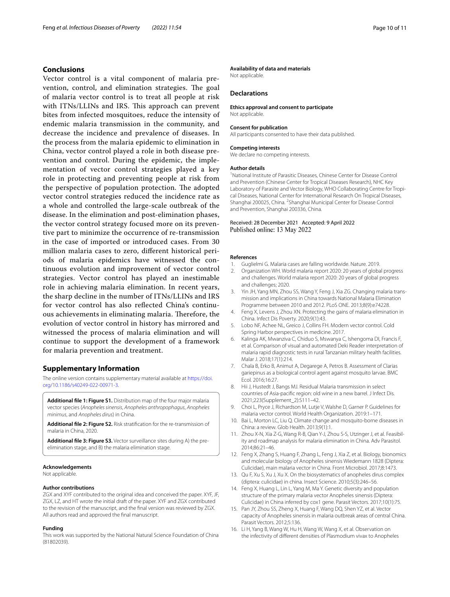## **Conclusions**

Vector control is a vital component of malaria prevention, control, and elimination strategies. The goal of malaria vector control is to treat all people at risk with ITNs/LLINs and IRS. This approach can prevent bites from infected mosquitoes, reduce the intensity of endemic malaria transmission in the community, and decrease the incidence and prevalence of diseases. In the process from the malaria epidemic to elimination in China, vector control played a role in both disease prevention and control. During the epidemic, the implementation of vector control strategies played a key role in protecting and preventing people at risk from the perspective of population protection. The adopted vector control strategies reduced the incidence rate as a whole and controlled the large-scale outbreak of the disease. In the elimination and post-elimination phases, the vector control strategy focused more on its preventive part to minimize the occurrence of re-transmission in the case of imported or introduced cases. From 30 million malaria cases to zero, diferent historical periods of malaria epidemics have witnessed the continuous evolution and improvement of vector control strategies. Vector control has played an inestimable role in achieving malaria elimination. In recent years, the sharp decline in the number of ITNs/LLINs and IRS for vector control has also refected China's continuous achievements in eliminating malaria. Therefore, the evolution of vector control in history has mirrored and witnessed the process of malaria elimination and will continue to support the development of a framework for malaria prevention and treatment.

## **Supplementary Information**

The online version contains supplementary material available at [https://doi.](https://doi.org/10.1186/s40249-022-00971-3) [org/10.1186/s40249-022-00971-3](https://doi.org/10.1186/s40249-022-00971-3).

<span id="page-9-13"></span>**Additional fle 1: Figure S1.** Distribution map of the four major malaria vector species (*Anopheles sinensis*, *Anopheles anthropophagus*, *Anopheles minimus*, and *Anopheles dirus*) in China.

**Additional fle 2: Figure S2.** Risk stratifcation for the re-transmission of malaria in China, 2020.

**Additional fle 3: Figure S3.** Vector surveillance sites during A) the preelimination stage, and B) the malaria elimination stage.

#### **Acknowledgements**

Not applicable.

#### **Author contributions**

ZGX and XYF contributed to the original idea and conceived the paper. XYF, JF, ZGX, LZ, and HT wrote the initial draft of the paper. XYF and ZGX contributed to the revision of the manuscript, and the fnal version was reviewed by ZGX. All authors read and approved the fnal manuscript.

#### **Funding**

This work was supported by the National Natural Science Foundation of China (81802039).

## **Availability of data and materials**

Not applicable.

## **Declarations**

#### **Ethics approval and consent to participate**

Not applicable.

#### **Consent for publication**

All participants consented to have their data published.

#### **Competing interests**

We declare no competing interests.

#### **Author details**

<sup>1</sup> National Institute of Parasitic Diseases, Chinese Center for Disease Control and Prevention (Chinese Center for Tropical Diseases Research), NHC Key Laboratory of Parasite and Vector Biology, WHO Collaborating Centre for Tropical Diseases, National Center for International Research On Tropical Diseases, Shanghai 200025, China. <sup>2</sup> Shanghai Municipal Center for Disease Control and Prevention, Shanghai 200336, China.

## Received: 28 December 2021 Accepted: 9 April 2022 Published online: 13 May 2022

#### **References**

- <span id="page-9-0"></span>1. Guglielmi G. Malaria cases are falling worldwide. Nature. 2019.<br>2. Organization WH, World malaria report 2020: 20 vears of globa
- <span id="page-9-1"></span>2. Organization WH. World malaria report 2020: 20 years of global progress and challenges. World malaria report 2020: 20 years of global progress and challenges; 2020.
- <span id="page-9-2"></span>3. Yin JH, Yang MN, Zhou SS, Wang Y, Feng J, Xia ZG. Changing malaria transmission and implications in China towards National Malaria Elimination Programme between 2010 and 2012. PLoS ONE. 2013;8(9):e74228.
- <span id="page-9-3"></span>4. Feng X, Levens J, Zhou XN. Protecting the gains of malaria elimination in China. Infect Dis Poverty. 2020;9(1):43.
- <span id="page-9-4"></span>5. Lobo NF, Achee NL, Greico J, Collins FH. Modern vector control. Cold Spring Harbor perspectives in medicine. 2017.
- <span id="page-9-5"></span>6. Kalinga AK, Mwanziva C, Chiduo S, Mswanya C, Ishengoma DI, Francis F, et al. Comparison of visual and automated Deki Reader interpretation of malaria rapid diagnostic tests in rural Tanzanian military health facilities. Malar J. 2018;17(1):214.
- <span id="page-9-6"></span>7. Chala B, Erko B, Animut A, Degarege A, Petros B. Assessment of Clarias gariepinus as a biological control agent against mosquito larvae. BMC Ecol. 2016;16:27.
- <span id="page-9-7"></span>8. Hii J, Hustedt J, Bangs MJ. Residual Malaria transmission in select countries of Asia-pacifc region: old wine in a new barrel. J Infect Dis. 2021;223(Supplement\_2):S111–42.
- <span id="page-9-17"></span><span id="page-9-8"></span>9. Choi L, Pryce J, Richardson M, Lutje V, Walshe D, Garner P. Guidelines for malaria vector control. World Health Organization. 2019:1–171.
- <span id="page-9-9"></span>10. Bai L, Morton LC, Liu Q. Climate change and mosquito-borne diseases in China: a review. Glob Health. 2013;9(1):1.
- <span id="page-9-16"></span>11. Zhou X-N, Xia Z-G, Wang R-B, Qian Y-J, Zhou S-S, Utzinger J, et al. Feasibility and roadmap analysis for malaria elimination in China. Adv Parasitol. 2014;86:21–46.
- <span id="page-9-10"></span>12. Feng X, Zhang S, Huang F, Zhang L, Feng J, Xia Z, et al. Biology, bionomics and molecular biology of Anopheles sinensis Wiedemann 1828 (Diptera: Culicidae), main malaria vector in China. Front Microbiol. 2017;8:1473.
- <span id="page-9-11"></span>13. Qu F, Xu S, Xu J, Xu X. On the biosystematics of anopheles dirus complex (diptera: culicidae) in china. Insect Science. 2010;5(3):246–56.
- <span id="page-9-12"></span>14. Feng X, Huang L, Lin L, Yang M, Ma Y. Genetic diversity and population structure of the primary malaria vector Anopheles sinensis (Diptera: Culicidae) in China inferred by cox1 gene. Parasit Vectors. 2017;10(1):75.
- <span id="page-9-14"></span>15. Pan JY, Zhou SS, Zheng X, Huang F, Wang DQ, Shen YZ, et al. Vector capacity of Anopheles sinensis in malaria outbreak areas of central China. Parasit Vectors. 2012;5:136.
- <span id="page-9-15"></span>16. Li H, Yang B, Wang W, Hu H, Wang W, Wang X, et al. Observation on the infectivity of diferent densities of Plasmodium vivax to Anopheles